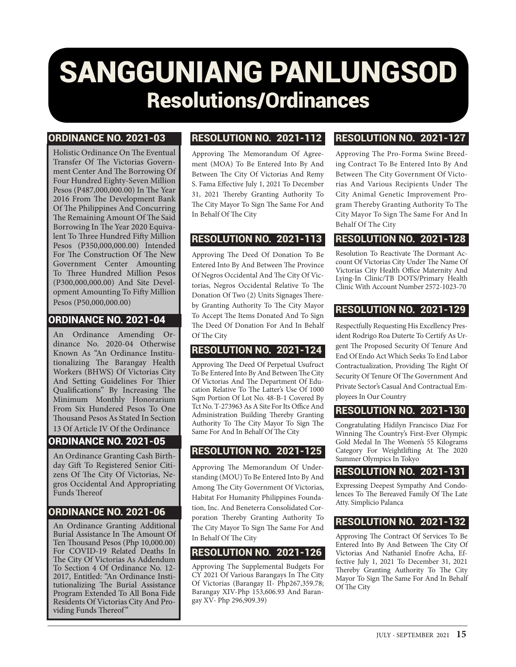# SANGGUNIANG PANLUNGSOD Resolutions/Ordinances

#### ORDINANCE NO. 2021-03

Holistic Ordinance On The Eventual Transfer Of The Victorias Government Center And The Borrowing Of Four Hundred Eighty-Seven Million Pesos (P487,000,000.00) In The Year 2016 From The Development Bank Of The Philippines And Concurring The Remaining Amount Of The Said Borrowing In The Year 2020 Equivalent To Three Hundred Fifty Million Pesos (P350,000,000.00) Intended For The Construction Of The New Government Center Amounting To Three Hundred Million Pesos (P300,000,000.00) And Site Development Amounting To Fifty Million Pesos (P50,000,000.00)

#### ORDINANCE NO. 2021-04

An Ordinance Amending Ordinance No. 2020-04 Otherwise Known As "An Ordinance Institutionalizing The Barangay Health Workers (BHWS) Of Victorias City And Setting Guidelines For Thier Qualifications" By Increasing The Minimum Monthly Honorarium From Six Hundered Pesos To One Thousand Pesos As Stated In Section 13 Of Article IV Of the Ordinance

# ORDINANCE NO. 2021-05

An Ordinance Granting Cash Birthday Gift To Registered Senior Citizens Of The City Of Victorias, Negros Occidental And Appropriating Funds Thereof

#### ORDINANCE NO. 2021-06

An Ordinance Granting Additional Burial Assistance In The Amount Of Ten Thousand Pesos (Php 10,000.00) For COVID-19 Related Deaths In The City Of Victorias As Addendum To Section 4 Of Ordinance No. 12- 2017, Entitled: "An Ordinance Institutionalizing The Burial Assistance Program Extended To All Bona Fide Residents Of Victorias City And Pro- viding Funds Thereof"

## RESOLUTION NO. 2021-112

Approving The Memorandum Of Agreement (MOA) To Be Entered Into By And Between The City Of Victorias And Remy S. Fama Effective July 1, 2021 To December 31, 2021 Thereby Granting Authority To The City Mayor To Sign The Same For And In Behalf Of The City

# RESOLUTION NO. 2021-113

Approving The Deed Of Donation To Be Entered Into By And Between The Province Of Negros Occidental And The City Of Victorias, Negros Occidental Relative To The Donation Of Two (2) Units Signages Thereby Granting Authority To The City Mayor To Accept The Items Donated And To Sign The Deed Of Donation For And In Behalf Of The City

# RESOLUTION NO. 2021-124

Approving The Deed Of Perpetual Usufruct To Be Entered Into By And Between The City Of Victorias And The Department Of Education Relative To The Latter's Use Of 1000 Sqm Portion Of Lot No. 48-B-1 Covered By Tct No. T-273963 As A Site For Its Office And Administration Building Thereby Granting Authority To The City Mayor To Sign The Same For And In Behalf Of The City

## RESOLUTION NO. 2021-125

Approving The Memorandum Of Understanding (MOU) To Be Entered Into By And Among The City Government Of Victorias, Habitat For Humanity Philippines Foundation, Inc. And Beneterra Consolidated Corporation Thereby Granting Authority To The City Mayor To Sign The Same For And In Behalf Of The City

# RESOLUTION NO. 2021-126

Approving The Supplemental Budgets For CY 2021 Of Various Barangays In The City Of Victorias (Barangay II- Php267,359.78; Barangay XIV-Php 153,606.93 And Barangay XV- Php 296,909.39)

## RESOLUTION NO. 2021-127

Approving The Pro-Forma Swine Breeding Contract To Be Entered Into By And Between The City Government Of Victorias And Various Recipients Under The City Animal Genetic Improvement Program Thereby Granting Authority To The City Mayor To Sign The Same For And In Behalf Of The City

# RESOLUTION NO. 2021-128

Resolution To Reactivate The Dormant Account Of Victorias City Under The Name Of Victorias City Health Office Maternity And Lying-In Clinic/TB DOTS/Primary Health Clinic With Account Number 2572-1023-70

## RESOLUTION NO. 2021-129

Respectfully Requesting His Excellency President Rodrigo Roa Duterte To Certify As Urgent The Proposed Security Of Tenure And End Of Endo Act Which Seeks To End Labor Contractualization, Providing The Right Of Security Of Tenure Of The Government And Private Sector's Casual And Contractual Employees In Our Country

#### RESOLUTION NO. 2021-130

Congratulating Hidilyn Francisco Diaz For Winning The Country's First-Ever Olympic Gold Medal In The Women's 55 Kilograms Category For Weightlifting At The 2020 Summer Olympics In Tokyo

#### RESOLUTION NO. 2021-131

Expressing Deepest Sympathy And Condolences To The Bereaved Family Of The Late Atty. Simplicio Palanca

#### RESOLUTION NO. 2021-132

Approving The Contract Of Services To Be Entered Into By And Between The City Of Victorias And Nathaniel Enofre Acha, Effective July 1, 2021 To December 31, 2021 Thereby Granting Authority To The City Mayor To Sign The Same For And In Behalf Of The City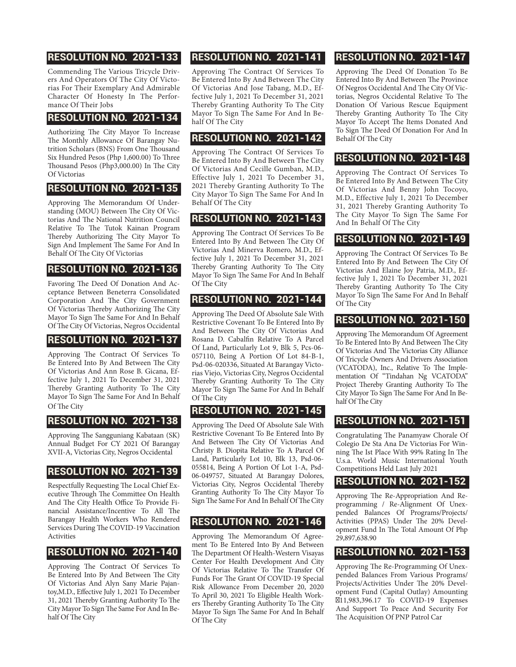## RESOLUTION NO. 2021-133

Commending The Various Tricycle Drivers And Operators Of The City Of Victorias For Their Exemplary And Admirable Character Of Honesty In The Performance Of Their Jobs

#### RESOLUTION NO. 2021-134

Authorizing The City Mayor To Increase The Monthly Allowance Of Barangay Nutrition Scholars (BNS) From One Thousand Six Hundred Pesos (Php 1,600.00) To Three Thousand Pesos (Php3,000.00) In The City Of Victorias

#### RESOLUTION NO. 2021-135

Approving The Memorandum Of Understanding (MOU) Between The City Of Victorias And The National Nutrition Council Relative To The Tutok Kainan Program Thereby Authorizing The City Mayor To Sign And Implement The Same For And In Behalf Of The City Of Victorias

#### RESOLUTION NO. 2021-136

Favoring The Deed Of Donation And Acceptance Between Beneterra Consolidated Corporation And The City Government Of Victorias Thereby Authorizing The City Mayor To Sign The Same For And In Behalf Of The City Of Victorias, Negros Occidental

#### RESOLUTION NO. 2021-137

Approving The Contract Of Services To Be Entered Into By And Between The City Of Victorias And Ann Rose B. Gicana, Effective July 1, 2021 To December 31, 2021 Thereby Granting Authority To The City Mayor To Sign The Same For And In Behalf Of The City

## RESOLUTION NO. 2021-138

Approving The Sangguniang Kabataan (SK) Annual Budget For CY 2021 Of Barangay XVII-A, Victorias City, Negros Occidental

## RESOLUTION NO. 2021-139

Respectfully Requesting The Local Chief Executive Through The Committee On Health And The City Health Office To Provide Financial Assistance/Incentive To All The Barangay Health Workers Who Rendered Services During The COVID-19 Vaccination Activities

#### RESOLUTION NO. 2021-140

Approving The Contract Of Services To Be Entered Into By And Between The City Of Victorias And Alyn Sany Marie Pajantoy,M.D., Effective July 1, 2021 To December 31, 2021 Thereby Granting Authority To The City Mayor To Sign The Same For And In Behalf Of The City

# RESOLUTION NO. 2021-141

Approving The Contract Of Services To Be Entered Into By And Between The City Of Victorias And Jose Tabang, M.D., Effective July 1, 2021 To December 31, 2021 Thereby Granting Authority To The City Mayor To Sign The Same For And In Behalf Of The City

## RESOLUTION NO. 2021-142

Approving The Contract Of Services To Be Entered Into By And Between The City Of Victorias And Cecille Gumban, M.D., Effective July 1, 2021 To December 31, 2021 Thereby Granting Authority To The City Mayor To Sign The Same For And In Behalf Of The City

## RESOLUTION NO. 2021-143

Approving The Contract Of Services To Be Entered Into By And Between The City Of Victorias And Minerva Romero, M.D., Effective July 1, 2021 To December 31, 2021 Thereby Granting Authority To The City Mayor To Sign The Same For And In Behalf Of The City

## RESOLUTION NO. 2021-144

Approving The Deed Of Absolute Sale With Restrictive Covenant To Be Entered Into By And Between The City Of Victorias And Rosana D. Cabalfin Relative To A Parcel Of Land, Particularly Lot 9, Blk 5, Pcs-06- 057110, Being A Portion Of Lot 84-B-1, Psd-06-020336, Situated At Barangay Victorias Viejo, Victorias City, Negros Occidental Thereby Granting Authority To The City Mayor To Sign The Same For And In Behalf Of The City

## RESOLUTION NO. 2021-145

Approving The Deed Of Absolute Sale With Restrictive Covenant To Be Entered Into By And Between The City Of Victorias And Christy B. Diopita Relative To A Parcel Of Land, Particularly Lot 10, Blk 13, Psd-06- 055814, Being A Portion Of Lot 1-A, Psd-06-049757, Situated At Barangay Dolores, Victorias City, Negros Occidental Thereby Granting Authority To The City Mayor To Sign The Same For And In Behalf Of The City

# RESOLUTION NO. 2021-146

Approving The Memorandum Of Agreement To Be Entered Into By And Between The Department Of Health-Western Visayas Center For Health Development And City Of Victorias Relative To The Transfer Of Funds For The Grant Of COVID-19 Special Risk Allowance From December 20, 2020 To April 30, 2021 To Eligible Health Workers Thereby Granting Authority To The City Mayor To Sign The Same For And In Behalf Of The City

# RESOLUTION NO. 2021-147

Approving The Deed Of Donation To Be Entered Into By And Between The Province Of Negros Occidental And The City Of Victorias, Negros Occidental Relative To The Donation Of Various Rescue Equipment Thereby Granting Authority To The City Mayor To Accept The Items Donated And To Sign The Deed Of Donation For And In Behalf Of The City

## RESOLUTION NO. 2021-148

Approving The Contract Of Services To Be Entered Into By And Between The City Of Victorias And Benny John Tocoyo, M.D., Effective July 1, 2021 To December 31, 2021 Thereby Granting Authority To The City Mayor To Sign The Same For And In Behalf Of The City

## RESOLUTION NO. 2021-149

Approving The Contract Of Services To Be Entered Into By And Between The City Of Victorias And Elaine Joy Patria, M.D., Effective July 1, 2021 To December 31, 2021 Thereby Granting Authority To The City Mayor To Sign The Same For And In Behalf Of The City

## RESOLUTION NO. 2021-150

Approving The Memorandum Of Agreement To Be Entered Into By And Between The City Of Victorias And The Victorias City Alliance Of Tricycle Owners And Drivers Association (VCATODA), Inc., Relative To The Implementation Of "Tindahan Ng VCATODA" Project Thereby Granting Authority To The City Mayor To Sign The Same For And In Behalf Of The City

# RESOLUTION NO. 2021-151

Congratulating The Panamyaw Chorale Of Colegio De Sta Ana De Victorias For Winning The Ist Place With 99% Rating In The U.s.a. World Music International Youth Competitions Held Last July 2021

#### RESOLUTION NO. 2021-152

Approving The Re-Appropriation And Reprogramming / Re-Alignment Of Unexpended Balances Of Programs/Projects/ Activities (PPAS) Under The 20% Development Fund In The Total Amount Of Php 29,897,638.90

## RESOLUTION NO. 2021-153

Approving The Re-Programming Of Unexpended Balances From Various Programs/ Projects/Activities Under The 20% Development Fund (Capital Outlay) Amounting ₱11,983,396.17 To COVID-19 Expenses And Support To Peace And Security For The Acquisition Of PNP Patrol Car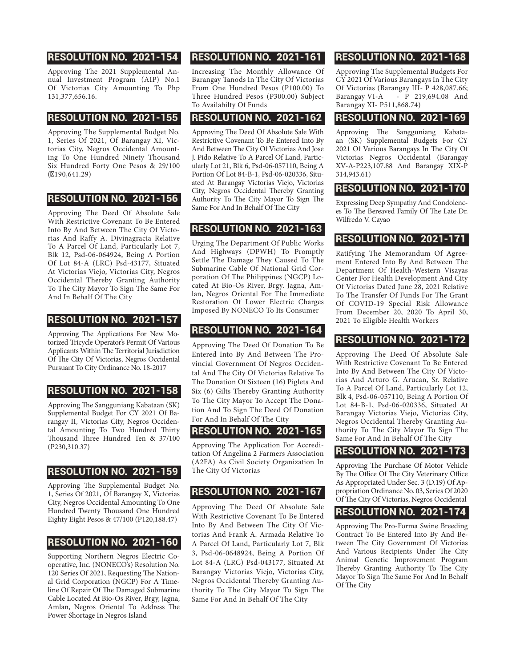## RESOLUTION NO. 2021-154

Approving The 2021 Supplemental Annual Investment Program (AIP) No.1 Of Victorias City Amounting To Php 131,377,656.16.

#### RESOLUTION NO. 2021-155

Approving The Supplemental Budget No. 1, Series Of 2021, Of Barangay XI, Victorias City, Negros Occidental Amounting To One Hundred Ninety Thousand Six Hundred Forty One Pesos & 29/100  $(190,641.29)$ 

#### RESOLUTION NO. 2021-156

Approving The Deed Of Absolute Sale With Restrictive Covenant To Be Entered Into By And Between The City Of Victorias And Raffy A. Divinagracia Relative To A Parcel Of Land, Particularly Lot 7, Blk 12, Psd-06-064924, Being A Portion Of Lot 84-A (LRC) Psd-43177, Situated At Victorias Viejo, Victorias City, Negros Occidental Thereby Granting Authority To The City Mayor To Sign The Same For And In Behalf Of The City

#### RESOLUTION NO. 2021-157

Approving The Applications For New Motorized Tricycle Operator's Permit Of Various Applicants Within The Territorial Jurisdiction Of The City Of Victorias, Negros Occidental Pursuant To City Ordinance No. 18-2017

## RESOLUTION NO. 2021-158

Approving The Sangguniang Kabataan (SK) Supplemental Budget For CY 2021 Of Barangay II, Victorias City, Negros Occidental Amounting To Two Hundred Thirty Thousand Three Hundred Ten & 37/100 (P230,310.37)

#### RESOLUTION NO. 2021-159

Approving The Supplemental Budget No. 1, Series Of 2021, Of Barangay X, Victorias City, Negros Occidental Amounting To One Hundred Twenty Thousand One Hundred Eighty Eight Pesos & 47/100 (P120,188.47)

#### RESOLUTION NO. 2021-160

Supporting Northern Negros Electric Cooperative, Inc. (NONECO's) Resolution No. 120 Series Of 2021, Requesting The National Grid Corporation (NGCP) For A Timeline Of Repair Of The Damaged Submarine Cable Located At Bio-Os River, Brgy, Jagna, Amlan, Negros Oriental To Address The Power Shortage In Negros Island

# RESOLUTION NO. 2021-161

Increasing The Monthly Allowance Of Barangay Tanods In The City Of Victorias From One Hundred Pesos (P100.00) To Three Hundred Pesos (P300.00) Subject To Availabilty Of Funds

#### RESOLUTION NO. 2021-162

Approving The Deed Of Absolute Sale With Restrictive Covenant To Be Entered Into By And Between The City Of Victorias And Jose J. Pido Relative To A Parcel Of Land, Particularly Lot 21, Blk 6, Psd-06-057110, Being A Portion Of Lot 84-B-1, Psd-06-020336, Situated At Barangay Victorias Viejo, Victorias City, Negros Occidental Thereby Granting Authority To The City Mayor To Sign The Same For And In Behalf Of The City

## RESOLUTION NO. 2021-163

Urging The Department Of Public Works And Highways (DPWH) To Promptly Settle The Damage They Caused To The Submarine Cable Of National Grid Corporation Of The Philippines (NGCP) Located At Bio-Os River, Brgy. Jagna, Amlan, Negros Oriental For The Immediate Restoration Of Lower Electric Charges Imposed By NONECO To Its Consumer

## RESOLUTION NO. 2021-164

Approving The Deed Of Donation To Be Entered Into By And Between The Provincial Government Of Negros Occidental And The City Of Victorias Relative To The Donation Of Sixteen (16) Piglets And Six (6) Gilts Thereby Granting Authority To The City Mayor To Accept The Donation And To Sign The Deed Of Donation For And In Behalf Of The City

#### RESOLUTION NO. 2021-165

Approving The Application For Accreditation Of Angelina 2 Farmers Association (A2FA) As Civil Society Organization In The City Of Victorias

## RESOLUTION NO. 2021-167

Approving The Deed Of Absolute Sale With Restrictive Covenant To Be Entered Into By And Between The City Of Victorias And Frank A. Armada Relative To A Parcel Of Land, Particularly Lot 7, Blk 3, Psd-06-0648924, Being A Portion Of Lot 84-A (LRC) Psd-043177, Situated At Barangay Victorias Viejo, Victorias City, Negros Occidental Thereby Granting Authority To The City Mayor To Sign The Same For And In Behalf Of The City

# RESOLUTION NO. 2021-168

Approving The Supplemental Budgets For CY 2021 Of Various Barangays In The City Of Victorias (Barangay III- P 428,087.66; Barangay VI-A - P 219,694.08 And Barangay XI- P511,868.74)

#### RESOLUTION NO. 2021-169

Approving The Sangguniang Kabataan (SK) Supplemental Budgets For CY 2021 Of Various Barangays In The City Of Victorias Negros Occidental (Barangay XV-A-P223,107.88 And Barangay XIX-P 314,943.61)

#### RESOLUTION NO. 2021-170

Expressing Deep Sympathy And Condolences To The Bereaved Family Of The Late Dr. Wilfredo V. Cayao

## RESOLUTION NO. 2021-171

Ratifying The Memorandum Of Agreement Entered Into By And Between The Department Of Health-Western Visayas Center For Health Development And City Of Victorias Dated June 28, 2021 Relative To The Transfer Of Funds For The Grant Of COVID-19 Special Risk Allowance From December 20, 2020 To April 30, 2021 To Eligible Health Workers

## RESOLUTION NO. 2021-172

Approving The Deed Of Absolute Sale With Restrictive Covenant To Be Entered Into By And Between The City Of Victorias And Arturo G. Arucan, Sr. Relative To A Parcel Of Land, Particularly Lot 12, Blk 4, Psd-06-057110, Being A Portion Of Lot 84-B-1, Psd-06-020336, Situated At Barangay Victorias Viejo, Victorias City, Negros Occidental Thereby Granting Authority To The City Mayor To Sign The Same For And In Behalf Of The City

#### RESOLUTION NO. 2021-173

Approving The Purchase Of Motor Vehicle By The Office Of The City Veterinary Office As Appropriated Under Sec. 3 (D.19) Of Appropriation Ordinance No. 03, Series Of 2020 Of The City Of Victorias, Negros Occidental

# RESOLUTION NO. 2021-174

Approving The Pro-Forma Swine Breeding Contract To Be Entered Into By And Between The City Government Of Victorias And Various Recipients Under The City Animal Genetic Improvement Program Thereby Granting Authority To The City Mayor To Sign The Same For And In Behalf Of The City